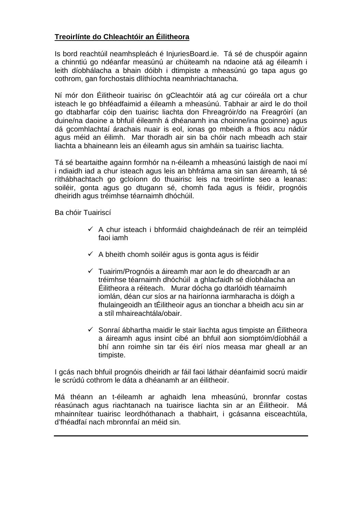#### **Treoirlínte do Chleachtóir an Éilitheora**

Is bord reachtúil neamhspleách é InjuriesBoard.ie. Tá sé de chuspóir againn a chinntiú go ndéanfar measúnú ar chúiteamh na ndaoine atá ag éileamh i leith díobhálacha a bhain dóibh i dtimpiste a mheasúnú go tapa agus go cothrom, gan forchostais dlíthíochta neamhriachtanacha.

Ní mór don Éilitheoir tuairisc ón gCleachtóir atá ag cur cóireála ort a chur isteach le go bhféadfaimid a éileamh a mheasúnú. Tabhair ar aird le do thoil go dtabharfar cóip den tuairisc liachta don Fhreagróir/do na Freagróirí (an duine/na daoine a bhfuil éileamh á dhéanamh ina choinne/ina gcoinne) agus dá gcomhlachtaí árachais nuair is eol, ionas go mbeidh a fhios acu nádúr agus méid an éilimh. Mar thoradh air sin ba chóir nach mbeadh ach stair liachta a bhaineann leis an éileamh agus sin amháin sa tuairisc liachta.

Tá sé beartaithe againn formhór na n-éileamh a mheasúnú laistigh de naoi mí i ndiaidh iad a chur isteach agus leis an bhfráma ama sin san áireamh, tá sé ríthábhachtach go gcloíonn do thuairisc leis na treoirlínte seo a leanas: soiléir, gonta agus go dtugann sé, chomh fada agus is féidir, prognóis dheiridh agus tréimhse téarnaimh dhóchúil.

Ba chóir Tuairiscí

- $\checkmark$  A chur isteach i bhformáid chaighdeánach de réir an teimpléid faoi iamh
- $\checkmark$  A bheith chomh soiléir agus is gonta agus is féidir
- $\checkmark$  Tuairim/Prognóis a áireamh mar aon le do dhearcadh ar an tréimhse téarnaimh dhóchúil a ghlacfaidh sé díobhálacha an Éilitheora a réiteach. Murar dócha go dtarlóidh téarnaimh iomlán, déan cur síos ar na hairíonna iarmharacha is dóigh a fhulaingeoidh an tÉilitheoir agus an tionchar a bheidh acu sin ar a stíl mhaireachtála/obair.
- $\checkmark$  Sonraí ábhartha maidir le stair liachta agus timpiste an Éilitheora a áireamh agus insint cibé an bhfuil aon siomptóim/díobháil a bhí ann roimhe sin tar éis éirí níos measa mar gheall ar an timpiste.

I gcás nach bhfuil prognóis dheiridh ar fáil faoi láthair déanfaimid socrú maidir le scrúdú cothrom le dáta a dhéanamh ar an éilitheoir.

Má théann an t-éileamh ar aghaidh lena mheasúnú, bronnfar costas réasúnach agus riachtanach na tuairisce liachta sin ar an Éilitheoir. Má mhainnítear tuairisc leordhóthanach a thabhairt, i gcásanna eisceachtúla, d'fhéadfaí nach mbronnfaí an méid sin.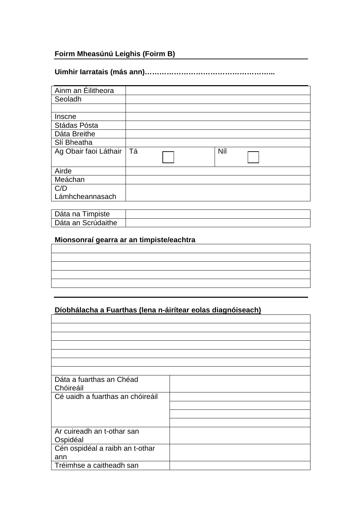## **Foirm Mheasúnú Leighis (Foirm B)**

### **Uimhir Iarratais (más ann)……………………………………………...**

| Ainm an Éilitheora    |    |     |  |
|-----------------------|----|-----|--|
| Seoladh               |    |     |  |
|                       |    |     |  |
| Inscne                |    |     |  |
| Stádas Pósta          |    |     |  |
| Dáta Breithe          |    |     |  |
| Slí Bheatha           |    |     |  |
| Ag Obair faoi Láthair | Tá | Níl |  |
|                       |    |     |  |
| Airde                 |    |     |  |
| Meáchan               |    |     |  |
| C/D                   |    |     |  |
| Lámhcheannasach       |    |     |  |

| Dáta na Timpiste   |  |
|--------------------|--|
| Dáta an Scrúdaithe |  |

## **Mionsonraí gearra ar an timpiste/eachtra**

# **Díobhálacha a Fuarthas (lena n-áirítear eolas diagnóiseach)**

| Dáta a fuarthas an Chéad<br>Chóireáil |  |
|---------------------------------------|--|
| Cé uaidh a fuarthas an chóireáil      |  |
|                                       |  |
|                                       |  |
|                                       |  |
| Ar cuireadh an t-othar san            |  |
| Ospidéal                              |  |
| Cén ospidéal a raibh an t-othar       |  |
| ann                                   |  |
| Tréimhse a caitheadh san              |  |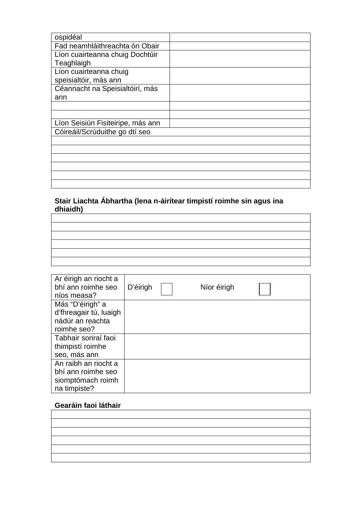| ospidéal                          |  |
|-----------------------------------|--|
| Fad neamhláithreachta ón Obair    |  |
| Líon cuairteanna chuig Dochtúir   |  |
| Teaghlaigh                        |  |
| Líon cuairteanna chuig            |  |
| speisialtóir, más ann             |  |
| Céannacht na Speisialtóirí, más   |  |
| ann                               |  |
|                                   |  |
|                                   |  |
| Líon Seisiún Fisiteiripe, más ann |  |
| Cóireáil/Scrúduithe go dtí seo    |  |
|                                   |  |
|                                   |  |
|                                   |  |
|                                   |  |
|                                   |  |
|                                   |  |

#### **Stair Liachta Ábhartha (lena n-áirítear timpistí roimhe sin agus ina dhiaidh)**

| Ar éirigh an riocht a  |          |             |  |
|------------------------|----------|-------------|--|
| bhí ann roimhe seo     | D'éirigh | Níor éirigh |  |
| níos measa?            |          |             |  |
| Más "D'éirigh" a       |          |             |  |
| d'fhreagair tú, luaigh |          |             |  |
| nádúr an reachta       |          |             |  |
| roimhe seo?            |          |             |  |
| Tabhair sonraí faoi    |          |             |  |
| thimpisti roimhe       |          |             |  |
| seo, más ann           |          |             |  |
| An raibh an riocht a   |          |             |  |
| bhí ann roimhe seo     |          |             |  |
| siomptómach roimh      |          |             |  |
| na timpiste?           |          |             |  |

## **Gearáin faoi láthair**

| the control of the control of the control of the control of the control of |  |
|----------------------------------------------------------------------------|--|
|                                                                            |  |
|                                                                            |  |
|                                                                            |  |
|                                                                            |  |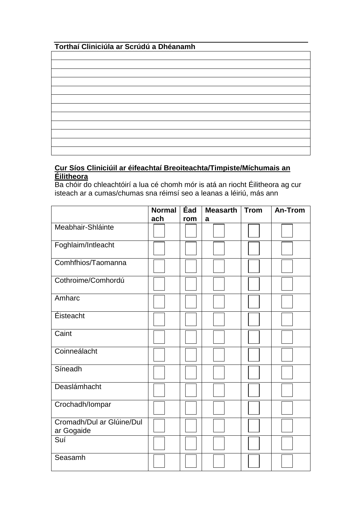## **Torthaí Cliniciúla ar Scrúdú a Dhéanamh**

#### **Cur Síos Cliniciúil ar éifeachtaí Breoiteachta/Timpiste/Míchumais an Éilitheora**

Ba chóir do chleachtóirí a lua cé chomh mór is atá an riocht Éilitheora ag cur isteach ar a cumas/chumas sna réimsí seo a leanas a léiriú, más ann

|                                         | <b>Normal</b> | Éad | <b>Measarth</b> | <b>Trom</b> | An-Trom |
|-----------------------------------------|---------------|-----|-----------------|-------------|---------|
|                                         | ach           | rom | a               |             |         |
| Meabhair-Shláinte                       |               |     |                 |             |         |
| Foghlaim/Intleacht                      |               |     |                 |             |         |
| Comhfhios/Taomanna                      |               |     |                 |             |         |
| Cothroime/Comhordú                      |               |     |                 |             |         |
| Amharc                                  |               |     |                 |             |         |
| Éisteacht                               |               |     |                 |             |         |
| Caint                                   |               |     |                 |             |         |
| Coinneálacht                            |               |     |                 |             |         |
| Síneadh                                 |               |     |                 |             |         |
| Deaslámhacht                            |               |     |                 |             |         |
| Crochadh/Iompar                         |               |     |                 |             |         |
| Cromadh/Dul ar Glúine/Dul<br>ar Gogaide |               |     |                 |             |         |
| Suí                                     |               |     |                 |             |         |
| Seasamh                                 |               |     |                 |             |         |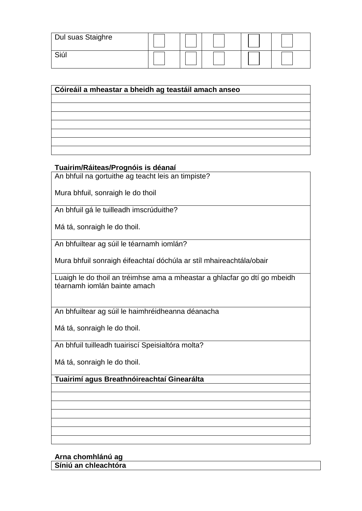| Dul suas Staighre |  |  |  |
|-------------------|--|--|--|
| Siúl              |  |  |  |

| Cóireáil a mheastar a bheidh ag teastáil amach anseo |  |  |  |
|------------------------------------------------------|--|--|--|
|                                                      |  |  |  |
|                                                      |  |  |  |
|                                                      |  |  |  |
|                                                      |  |  |  |
|                                                      |  |  |  |
|                                                      |  |  |  |
|                                                      |  |  |  |

#### **Tuairim/Ráiteas/Prognóis is déanaí**

An bhfuil na gortuithe ag teacht leis an timpiste?

Mura bhfuil, sonraigh le do thoil

An bhfuil gá le tuilleadh imscrúduithe?

Má tá, sonraigh le do thoil.

An bhfuiltear ag súil le téarnamh iomlán?

Mura bhfuil sonraigh éifeachtaí dóchúla ar stíl mhaireachtála/obair

Luaigh le do thoil an tréimhse ama a mheastar a ghlacfar go dtí go mbeidh téarnamh iomlán bainte amach

An bhfuiltear ag súil le haimhréidheanna déanacha

Má tá, sonraigh le do thoil.

An bhfuil tuilleadh tuairiscí Speisialtóra molta?

Má tá, sonraigh le do thoil.

**Tuairimí agus Breathnóireachtaí Ginearálta**

**Arna chomhlánú ag Síniú an chleachtóra**